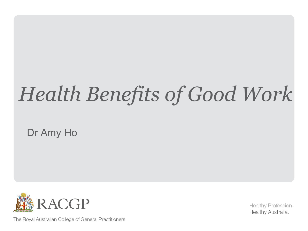### *Health Benefits of Good Work*

Dr Amy Ho



The Royal Australian College of General Practitioners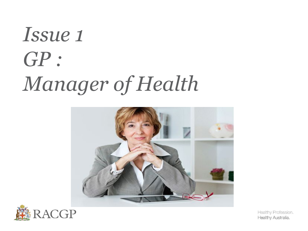### *Issue 1 GP : Manager of Health*



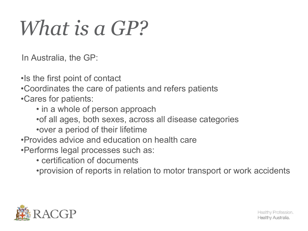### *What is a GP?*

In Australia, the GP:

•Is the first point of contact

•Coordinates the care of patients and refers patients

•Cares for patients:

- in a whole of person approach
- •of all ages, both sexes, across all disease categories
- •over a period of their lifetime
- •Provides advice and education on health care
- •Performs legal processes such as:
	- certification of documents
	- •provision of reports in relation to motor transport or work accidents

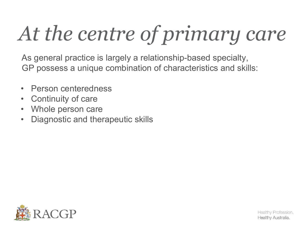# *At the centre of primary care*

As general practice is largely a relationship-based specialty, GP possess a unique combination of characteristics and skills:

- Person centeredness
- Continuity of care
- Whole person care
- Diagnostic and therapeutic skills

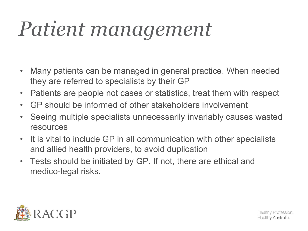### *Patient management*

- Many patients can be managed in general practice. When needed they are referred to specialists by their GP
- Patients are people not cases or statistics, treat them with respect
- GP should be informed of other stakeholders involvement
- Seeing multiple specialists unnecessarily invariably causes wasted resources
- It is vital to include GP in all communication with other specialists and allied health providers, to avoid duplication
- Tests should be initiated by GP. If not, there are ethical and medico-legal risks.

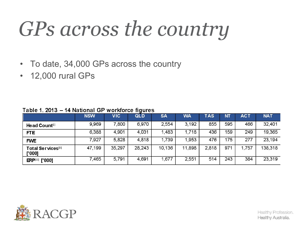### *GPs across the country*

- To date, 34,000 GPs across the country
- 12,000 rural GPs

|                                      | <b>NSW</b> | <b>VIC</b> | QLD    | <b>SA</b> | <b>WA</b> | <b>TAS</b> | NT. | <b>ACT</b> | <b>NAT</b> |
|--------------------------------------|------------|------------|--------|-----------|-----------|------------|-----|------------|------------|
| Head Count <sup>[1]</sup>            | 9,969      | 7,800      | 6,970  | 2,554     | 3,192     | 855        | 595 | 466        | 32,401     |
| <b>FTE</b>                           | 6,388      | 4,901      | 4,031  | 1,483     | 1,718     | 436        | 159 | 249        | 19,365     |
| <b>FWE</b>                           | 7,927      | 5,828      | 4,818  | 1,739     | 1,953     | 476        | 175 | 277        | 23,194     |
| <b>Total Services</b> [11]<br>['000] | 47,199     | 35,297     | 28,243 | 10,136    | 11,898    | 2,818      | 971 | .757       | 138,318    |
| <b>ERPIIII</b> ['000]                | 7,465      | 5,791      | 4,691  | .677      | 2,551     | 514        | 243 | 384        | 23,319     |

Table 1. 2013 - 14 National GP workforce figures

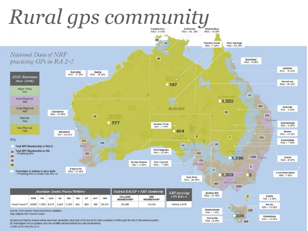

Correct as at Hebrurary 2015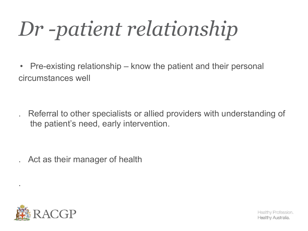*Dr -patient relationship*

• Pre-existing relationship – know the patient and their personal circumstances well

. Referral to other specialists or allied providers with understanding of the patient's need, early intervention.

. Act as their manager of health



.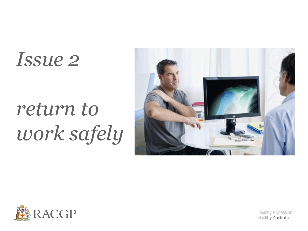### *Issue 2*

### *return to work safely*



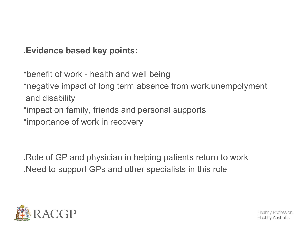**.Evidence based key points:**

\*benefit of work - health and well being \*negative impact of long term absence from work,unempolyment

and disability

\*impact on family, friends and personal supports

\*importance of work in recovery

.Role of GP and physician in helping patients return to work .Need to support GPs and other specialists in this role

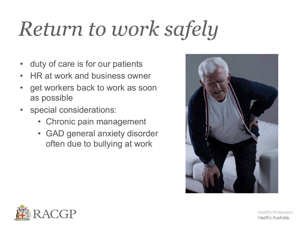## *Return to work safely*

- duty of care is for our patients
- HR at work and business owner
- get workers back to work as soon as possible
- special considerations:
	- Chronic pain management
	- GAD general anxiety disorder often due to bullying at work



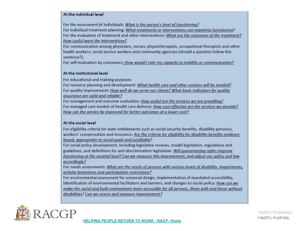### At the individual level

For the assessment of individuals: What is the person's level of functioning?

For individual treatment planning: What treatments or interventions can maximise functioning? For the evaluation of treatment and other interventions: What are the outcomes of the treatment? How useful were the interventions?

For communication among physicians, nurses, physiotherapists, occupational therapists and other health workers, social service workers and community agencies (should a question follow this sentence?)

For self-evaluation by consumers: How would I rate my capacity in mobility or communication?

### At the institutional level

For educational and training purposes

For resource planning and development: What health care and other services will be needed? For quality improvement: How well do we serve our clients? What basic indicators for quality assurance are valid and reliable?

For management and outcome evaluation: How useful are the services we are providing? For managed care models of health care delivery: How cost-effective are the services we provide? How can the service be improved for better outcomes at a lower cost?

### At the social level

For eligibility criteria for state entitlements such as social security benefits, disability pensions, workers' compensation and insurance: Are the criteria for eligibility for disability benefits evidence based, appropriate to social goals and justifiable?

For social policy development, including legislative reviews, model legislation, regulations and guidelines, and definitions for anti-discrimination legislation: Will guaranteeing rights improve functioning at the societal level? Can we measure this improvement, and adjust our policy and law accordingly?

For needs assessments: What are the needs of persons with various levels of disability impairments, activity limitations and participation restrictions?

For environmental assessment for universal design, implementation of mandated accessibility, identification of environmental facilitators and barriers, and changes to social policy: How can we make the social and built environment more accessible for all persons, those with and those without disabilities? Can we assess and measure improvement?

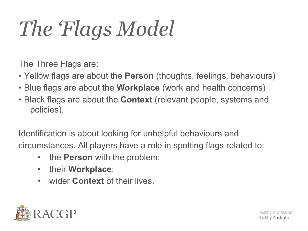## *The 'Flags Model*

The Three Flags are:

- Yellow flags are about the **Person** (thoughts, feelings, behaviours)
- Blue flags are about the **Workplace** (work and health concerns)
- Black flags are about the **Context** (relevant people, systems and policies).

Identification is about looking for unhelpful behaviours and circumstances. All players have a role in spotting flags related to:

- the **Person** with the problem;
- their **Workplace**;
- wider **Context** of their lives.

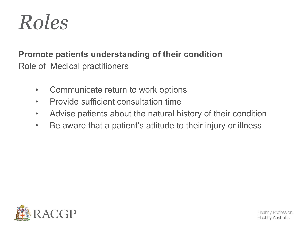

### **Promote patients understanding of their condition** Role of Medical practitioners

- Communicate return to work options
- Provide sufficient consultation time
- Advise patients about the natural history of their condition
- Be aware that a patient's attitude to their injury or illness

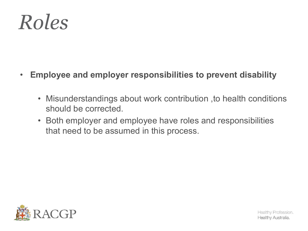

- **Employee and employer responsibilities to prevent disability**
	- Misunderstandings about work contribution ,to health conditions should be corrected.
	- Both employer and employee have roles and responsibilities that need to be assumed in this process.

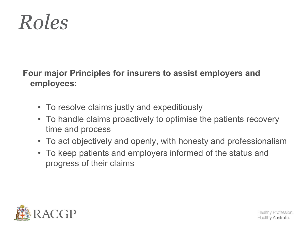

### **Four major Principles for insurers to assist employers and employees:**

- To resolve claims justly and expeditiously
- To handle claims proactively to optimise the patients recovery time and process
- To act objectively and openly, with honesty and professionalism
- To keep patients and employers informed of the status and progress of their claims

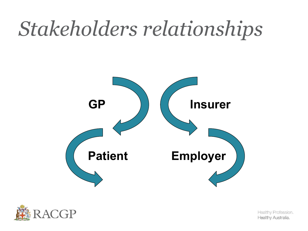### *Stakeholders relationships*